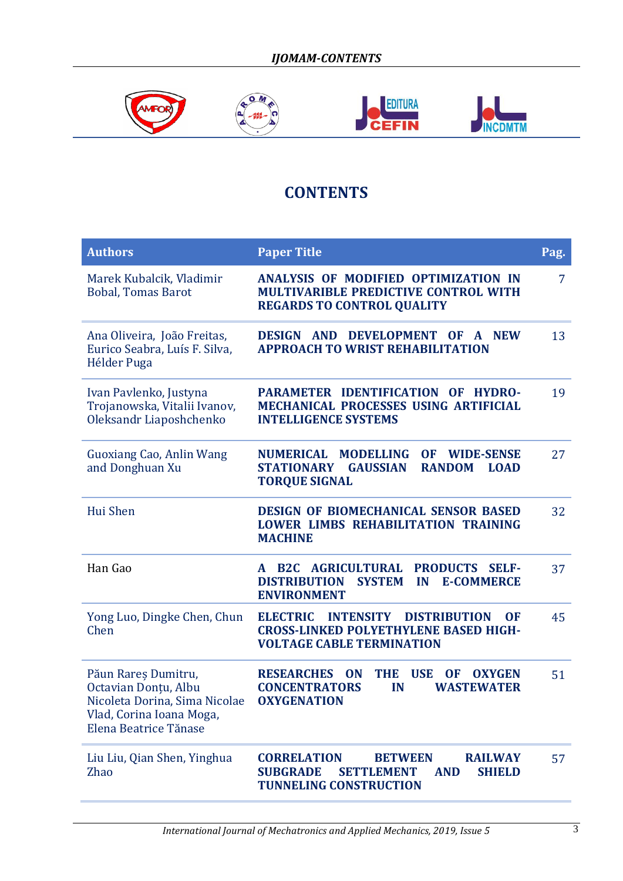

## **CONTENTS**

| <b>Authors</b>                                                                                                                    | <b>Paper Title</b>                                                                                                                                             | Pag.           |
|-----------------------------------------------------------------------------------------------------------------------------------|----------------------------------------------------------------------------------------------------------------------------------------------------------------|----------------|
| Marek Kubalcik, Vladimir<br><b>Bobal, Tomas Barot</b>                                                                             | ANALYSIS OF MODIFIED OPTIMIZATION IN<br>MULTIVARIBLE PREDICTIVE CONTROL WITH<br><b>REGARDS TO CONTROL QUALITY</b>                                              | $\overline{7}$ |
| Ana Oliveira, João Freitas,<br>Eurico Seabra, Luís F. Silva,<br>Hélder Puga                                                       | DESIGN AND DEVELOPMENT OF<br>A NEW<br><b>APPROACH TO WRIST REHABILITATION</b>                                                                                  | 13             |
| Ivan Pavlenko, Justyna<br>Trojanowska, Vitalii Ivanov,<br>Oleksandr Liaposhchenko                                                 | PARAMETER IDENTIFICATION OF<br><b>HYDRO-</b><br><b>MECHANICAL PROCESSES USING ARTIFICIAL</b><br><b>INTELLIGENCE SYSTEMS</b>                                    | 19             |
| <b>Guoxiang Cao, Anlin Wang</b><br>and Donghuan Xu                                                                                | NUMERICAL MODELLING<br><b>OF</b><br><b>WIDE-SENSE</b><br><b>RANDOM</b><br><b>STATIONARY</b><br><b>GAUSSIAN</b><br><b>LOAD</b><br><b>TORQUE SIGNAL</b>          | 27             |
| Hui Shen                                                                                                                          | <b>DESIGN OF BIOMECHANICAL SENSOR BASED</b><br><b>LOWER LIMBS REHABILITATION TRAINING</b><br><b>MACHINE</b>                                                    | 32             |
| Han Gao                                                                                                                           | <b>B2C AGRICULTURAL</b><br><b>PRODUCTS</b><br><b>SELF-</b><br>A<br><b>DISTRIBUTION</b><br><b>SYSTEM</b><br>IN<br><b>E-COMMERCE</b><br><b>ENVIRONMENT</b>       | 37             |
| Yong Luo, Dingke Chen, Chun<br>Chen                                                                                               | <b>ELECTRIC</b><br><b>INTENSITY</b><br><b>DISTRIBUTION</b><br><b>OF</b><br><b>CROSS-LINKED POLYETHYLENE BASED HIGH-</b><br><b>VOLTAGE CABLE TERMINATION</b>    | 45             |
| Păun Rareș Dumitru,<br>Octavian Donțu, Albu<br>Nicoleta Dorina, Sima Nicolae<br>Vlad, Corina Ioana Moga,<br>Elena Beatrice Tănase | <b>RESEARCHES</b><br><b>ON</b><br>THE<br><b>USE</b><br><b>OF</b><br><b>OXYGEN</b><br><b>CONCENTRATORS</b><br>IN<br><b>WASTEWATER</b><br><b>OXYGENATION</b>     | 51             |
| Liu Liu, Qian Shen, Yinghua<br><b>Zhao</b>                                                                                        | <b>CORRELATION</b><br><b>BETWEEN</b><br><b>RAILWAY</b><br><b>SUBGRADE</b><br><b>SETTLEMENT</b><br><b>SHIELD</b><br><b>AND</b><br><b>TUNNELING CONSTRUCTION</b> | 57             |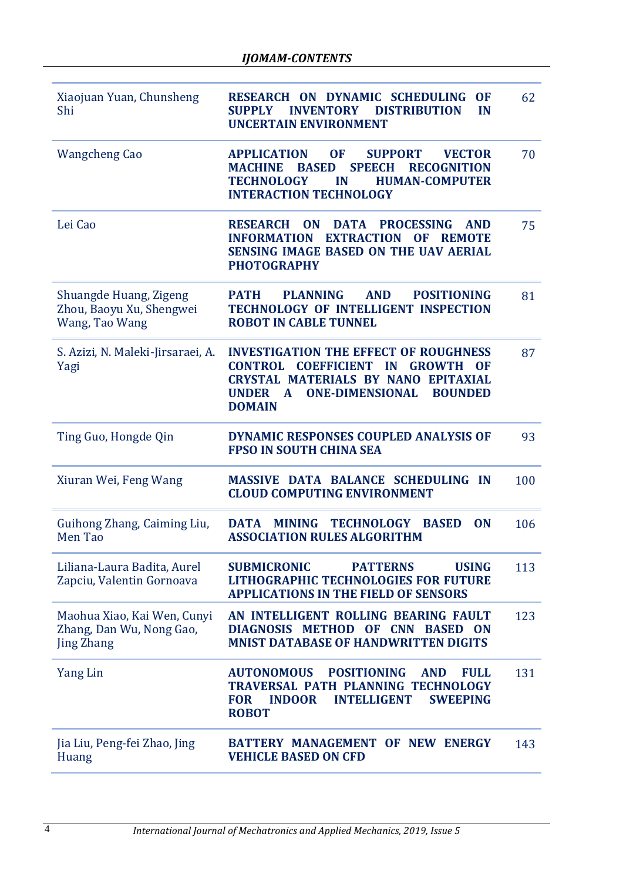| Xiaojuan Yuan, Chunsheng<br>Shi                                              | RESEARCH ON DYNAMIC SCHEDULING<br><b>OF</b><br><b>DISTRIBUTION</b><br><b>SUPPLY</b><br><b>INVENTORY</b><br>IN<br><b>UNCERTAIN ENVIRONMENT</b>                                                                                                                   | 62  |
|------------------------------------------------------------------------------|-----------------------------------------------------------------------------------------------------------------------------------------------------------------------------------------------------------------------------------------------------------------|-----|
| <b>Wangcheng Cao</b>                                                         | <b>APPLICATION</b><br><b>OF</b><br><b>SUPPORT</b><br><b>VECTOR</b><br><b>BASED</b><br><b>SPEECH</b><br><b>RECOGNITION</b><br><b>MACHINE</b><br><b>TECHNOLOGY</b><br><b>HUMAN-COMPUTER</b><br>IN<br><b>INTERACTION TECHNOLOGY</b>                                | 70  |
| Lei Cao                                                                      | <b>RESEARCH</b><br><b>ON</b><br><b>DATA</b><br><b>PROCESSING</b><br><b>AND</b><br><b>EXTRACTION</b><br><b>INFORMATION</b><br><b>OF</b><br><b>REMOTE</b><br><b>SENSING IMAGE BASED ON THE UAV AERIAL</b><br><b>PHOTOGRAPHY</b>                                   | 75  |
| Shuangde Huang, Zigeng<br>Zhou, Baoyu Xu, Shengwei<br>Wang, Tao Wang         | <b>PLANNING</b><br><b>AND</b><br><b>POSITIONING</b><br><b>PATH</b><br>TECHNOLOGY OF INTELLIGENT INSPECTION<br><b>ROBOT IN CABLE TUNNEL</b>                                                                                                                      | 81  |
| S. Azizi, N. Maleki-Jirsaraei, A.<br>Yagi                                    | <b>INVESTIGATION THE EFFECT OF ROUGHNESS</b><br><b>COEFFICIENT</b><br>CONTROL<br>IN<br><b>GROWTH</b><br><b>OF</b><br><b>CRYSTAL MATERIALS BY NANO</b><br>EPITAXIAL<br><b>ONE-DIMENSIONAL</b><br><b>UNDER</b><br>$\mathbf{A}$<br><b>BOUNDED</b><br><b>DOMAIN</b> | 87  |
| Ting Guo, Hongde Qin                                                         | <b>DYNAMIC RESPONSES COUPLED ANALYSIS OF</b><br><b>FPSO IN SOUTH CHINA SEA</b>                                                                                                                                                                                  | 93  |
| Xiuran Wei, Feng Wang                                                        | <b>MASSIVE DATA BALANCE SCHEDULING</b><br><b>IN</b><br><b>CLOUD COMPUTING ENVIRONMENT</b>                                                                                                                                                                       | 100 |
| Guihong Zhang, Caiming Liu,<br>Men Tao                                       | <b>DATA</b><br><b>MINING</b><br><b>TECHNOLOGY</b><br><b>BASED</b><br><b>ON</b><br><b>ASSOCIATION RULES ALGORITHM</b>                                                                                                                                            | 106 |
| Liliana-Laura Badita, Aurel<br>Zapciu, Valentin Gornoava                     | <b>SUBMICRONIC</b><br><b>PATTERNS</b><br><b>USING</b><br><b>LITHOGRAPHIC TECHNOLOGIES FOR FUTURE</b><br><b>APPLICATIONS IN THE FIELD OF SENSORS</b>                                                                                                             | 113 |
| Maohua Xiao, Kai Wen, Cunyi<br>Zhang, Dan Wu, Nong Gao,<br><b>Jing Zhang</b> | AN INTELLIGENT ROLLING BEARING FAULT<br>DIAGNOSIS METHOD OF CNN BASED ON<br><b>MNIST DATABASE OF HANDWRITTEN DIGITS</b>                                                                                                                                         | 123 |
| Yang Lin                                                                     | <b>POSITIONING</b><br><b>AUTONOMOUS</b><br><b>AND</b><br><b>FULL</b><br>TRAVERSAL PATH PLANNING TECHNOLOGY<br><b>INTELLIGENT</b><br><b>SWEEPING</b><br><b>INDOOR</b><br><b>FOR</b><br><b>ROBOT</b>                                                              | 131 |
| Jia Liu, Peng-fei Zhao, Jing<br><b>Huang</b>                                 | BATTERY MANAGEMENT OF NEW ENERGY<br><b>VEHICLE BASED ON CFD</b>                                                                                                                                                                                                 | 143 |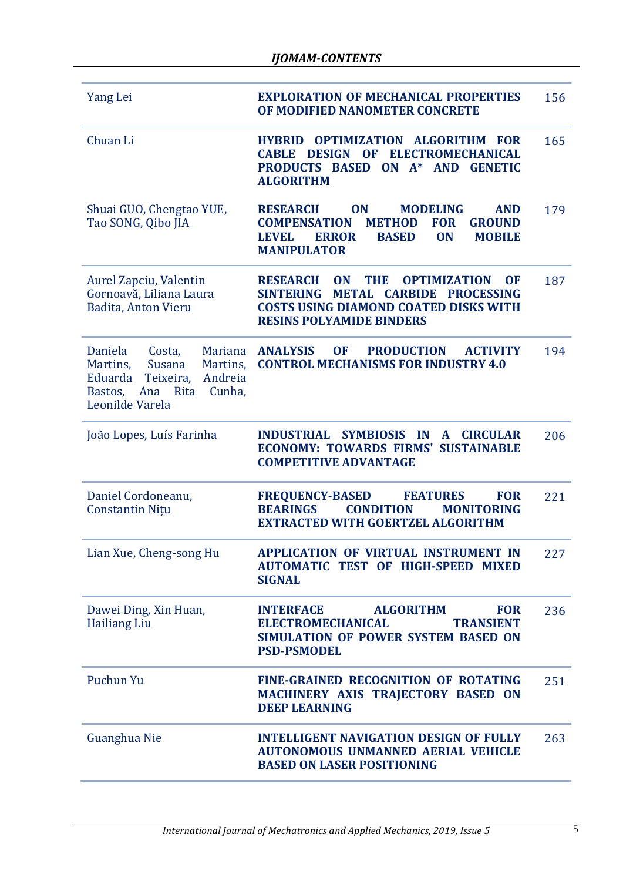| Yang Lei                                                                                                                                                  | <b>EXPLORATION OF MECHANICAL PROPERTIES</b><br>OF MODIFIED NANOMETER CONCRETE                                                                                                                                                                | 156 |
|-----------------------------------------------------------------------------------------------------------------------------------------------------------|----------------------------------------------------------------------------------------------------------------------------------------------------------------------------------------------------------------------------------------------|-----|
| Chuan Li                                                                                                                                                  | <b>OPTIMIZATION ALGORITHM FOR</b><br><b>HYBRID</b><br>ELECTROMECHANICAL<br><b>DESIGN</b><br><b>CABLE</b><br><b>OF</b><br>$ON A^* AND$<br><b>PRODUCTS BASED</b><br><b>GENETIC</b><br><b>ALGORITHM</b>                                         | 165 |
| Shuai GUO, Chengtao YUE,<br>Tao SONG, Qibo JIA                                                                                                            | <b>ON</b><br><b>MODELING</b><br><b>RESEARCH</b><br><b>AND</b><br><b>COMPENSATION</b><br><b>METHOD</b><br><b>FOR</b><br><b>GROUND</b><br><b>LEVEL</b><br><b>ERROR</b><br><b>BASED</b><br><b>MOBILE</b><br><b>ON</b><br><b>MANIPULATOR</b>     | 179 |
| Aurel Zapciu, Valentin<br>Gornoavă, Liliana Laura<br>Badita, Anton Vieru                                                                                  | <b>RESEARCH</b><br><b>ON</b><br><b>THE</b><br><b>OPTIMIZATION</b><br><b>OF</b><br><b>METAL</b><br><b>CARBIDE</b><br><b>PROCESSING</b><br><b>SINTERING</b><br><b>COSTS USING DIAMOND COATED DISKS WITH</b><br><b>RESINS POLYAMIDE BINDERS</b> | 187 |
| Daniela<br>Costa,<br><b>Mariana</b><br>Martins,<br>Susana<br>Martins,<br>Teixeira,<br>Andreia<br>Eduarda<br>Bastos, Ana Rita<br>Cunha,<br>Leonilde Varela | <b>ANALYSIS</b><br><b>PRODUCTION</b><br><b>OF</b><br><b>ACTIVITY</b><br><b>CONTROL MECHANISMS FOR INDUSTRY 4.0</b>                                                                                                                           | 194 |
| João Lopes, Luís Farinha                                                                                                                                  | <b>SYMBIOSIS</b><br><b>INDUSTRIAL</b><br><b>IN</b><br><b>CIRCULAR</b><br>A<br><b>ECONOMY: TOWARDS FIRMS' SUSTAINABLE</b><br><b>COMPETITIVE ADVANTAGE</b>                                                                                     | 206 |
| Daniel Cordoneanu,<br><b>Constantin Nițu</b>                                                                                                              | <b>FREQUENCY-BASED</b><br><b>FEATURES</b><br><b>FOR</b><br><b>CONDITION</b><br><b>BEARINGS</b><br><b>MONITORING</b><br><b>EXTRACTED WITH GOERTZEL ALGORITHM</b>                                                                              | 221 |
| Lian Xue, Cheng-song Hu                                                                                                                                   | APPLICATION OF VIRTUAL INSTRUMENT IN<br><b>AUTOMATIC TEST OF HIGH-SPEED MIXED</b><br><b>SIGNAL</b>                                                                                                                                           | 227 |
| Dawei Ding, Xin Huan,<br><b>Hailiang Liu</b>                                                                                                              | <b>ALGORITHM</b><br><b>INTERFACE</b><br><b>FOR</b><br><b>ELECTROMECHANICAL</b><br><b>TRANSIENT</b><br>SIMULATION OF POWER SYSTEM BASED ON<br><b>PSD-PSMODEL</b>                                                                              | 236 |
| Puchun Yu                                                                                                                                                 | <b>FINE-GRAINED RECOGNITION OF ROTATING</b><br>MACHINERY AXIS TRAJECTORY BASED ON<br><b>DEEP LEARNING</b>                                                                                                                                    | 251 |
| Guanghua Nie                                                                                                                                              | <b>INTELLIGENT NAVIGATION DESIGN OF FULLY</b><br><b>AUTONOMOUS UNMANNED AERIAL VEHICLE</b><br><b>BASED ON LASER POSITIONING</b>                                                                                                              | 263 |